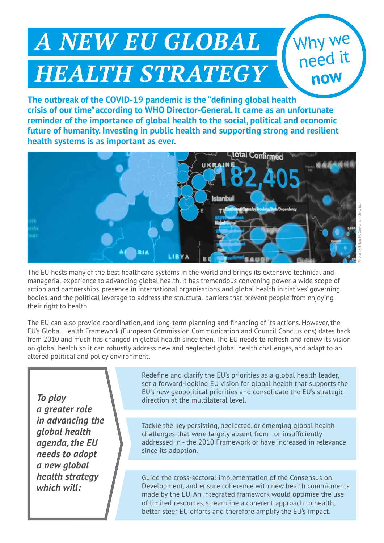## *A NEW EU GLOBAL HEALTH STRATEGY*

**The outbreak of the COVID-19 pandemic is the "defining global health crisis of our time"according to WHO Director-General. It came as an unfortunate reminder of the importance of global health to the social, political and economic future of humanity. Investing in public health and supporting strong and resilient health systems is as important as ever.**



The EU hosts many of the best healthcare systems in the world and brings its extensive technical and managerial experience to advancing global health. It has tremendous convening power, a wide scope of action and partnerships, presence in international organisations and global health initiatives' governing bodies, and the political leverage to address the structural barriers that prevent people from enjoying their right to health.

The EU can also provide coordination, and long-term planning and financing of its actions. However, the EU's Global Health Framework (European Commission Communication and Council Conclusions) dates back from 2010 and much has changed in global health since then. The EU needs to refresh and renew its vision on global health so it can robustly address new and neglected global health challenges, and adapt to an altered political and policy environment.

*To play a greater role in advancing the global health agenda, the EU needs to adopt a new global health strategy which will:*

Redefine and clarify the EU's priorities as a global health leader, set a forward-looking EU vision for global health that supports the EU's new geopolitical priorities and consolidate the EU's strategic direction at the multilateral level.

Tackle the key persisting, neglected, or emerging global health challenges that were largely absent from - or insufficiently addressed in - the 2010 Framework or have increased in relevance since its adoption.

Guide the cross-sectoral implementation of the Consensus on Development, and ensure coherence with new health commitments made by the EU. An integrated framework would optimise the use of limited resources, streamline a coherent approach to health, better steer EU efforts and therefore amplify the EU's impact.

Why we

need it

**now**